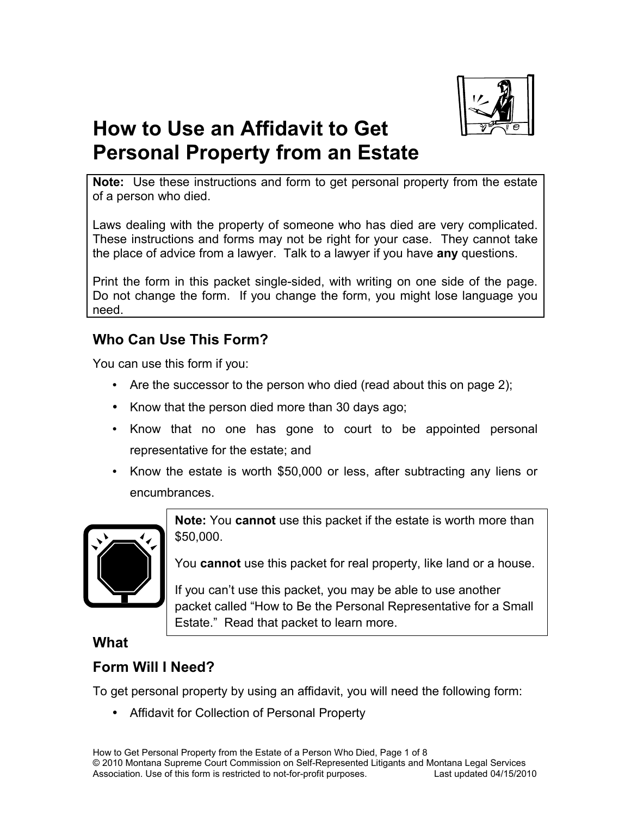

# **How to Use an Affidavit to Get Personal Property from an Estate**

**Note:** Use these instructions and form to get personal property from the estate of a person who died.

Laws dealing with the property of someone who has died are very complicated. These instructions and forms may not be right for your case. They cannot take the place of advice from a lawyer. Talk to a lawyer if you have **any** questions.

Print the form in this packet single-sided, with writing on one side of the page. Do not change the form. If you change the form, you might lose language you need.

## **Who Can Use This Form?**

You can use this form if you:

- Are the successor to the person who died (read about this on page 2);
- Know that the person died more than 30 days ago;
- Know that no one has gone to court to be appointed personal representative for the estate; and
- Know the estate is worth \$50,000 or less, after subtracting any liens or encumbrances.



**Note:** You **cannot** use this packet if the estate is worth more than \$50,000.

You **cannot** use this packet for real property, like land or a house.

If you can't use this packet, you may be able to use another packet called "How to Be the Personal Representative for a Small Estate." Read that packet to learn more.

## **What**

## **Form Will I Need?**

To get personal property by using an affidavit, you will need the following form:

• Affidavit for Collection of Personal Property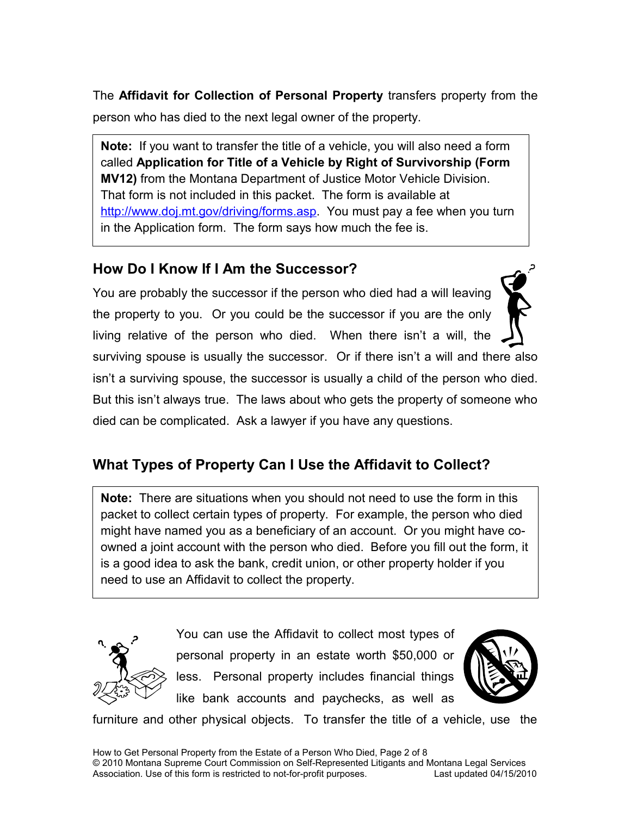The **Affidavit for Collection of Personal Property** transfers property from the person who has died to the next legal owner of the property.

**Note:** If you want to transfer the title of a vehicle, you will also need a form called **Application for Title of a Vehicle by Right of Survivorship (Form MV12)** from the Montana Department of Justice Motor Vehicle Division. That form is not included in this packet. The form is available at [http://www.doj.mt.gov/driving/forms.asp.](http://www.doj.mt.gov/driving/forms.asp) You must pay a fee when you turn in the Application form. The form says how much the fee is.

## **How Do I Know If I Am the Successor?**

You are probably the successor if the person who died had a will leaving the property to you. Or you could be the successor if you are the only living relative of the person who died. When there isn't a will, the

surviving spouse is usually the successor. Or if there isn't a will and there also isn't a surviving spouse, the successor is usually a child of the person who died. But this isn't always true. The laws about who gets the property of someone who died can be complicated. Ask a lawyer if you have any questions.

## **What Types of Property Can I Use the Affidavit to Collect?**

**Note:** There are situations when you should not need to use the form in this packet to collect certain types of property. For example, the person who died might have named you as a beneficiary of an account. Or you might have coowned a joint account with the person who died. Before you fill out the form, it is a good idea to ask the bank, credit union, or other property holder if you need to use an Affidavit to collect the property.



You can use the Affidavit to collect most types of personal property in an estate worth \$50,000 or less. Personal property includes financial things like bank accounts and paychecks, as well as



furniture and other physical objects. To transfer the title of a vehicle, use the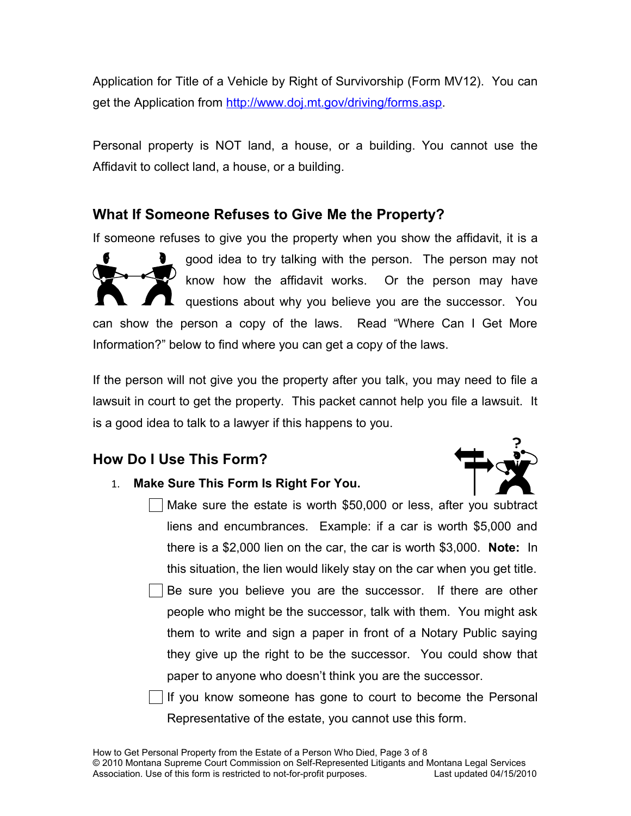Application for Title of a Vehicle by Right of Survivorship (Form MV12). You can get the Application from [http://www.doj.mt.gov/driving/forms.asp.](http://www.doj.mt.gov/driving/forms.asp)

Personal property is NOT land, a house, or a building. You cannot use the Affidavit to collect land, a house, or a building.

## **What If Someone Refuses to Give Me the Property?**

If someone refuses to give you the property when you show the affidavit, it is a

good idea to try talking with the person. The person may not know how the affidavit works. Or the person may have questions about why you believe you are the successor. You can show the person a copy of the laws. Read "Where Can I Get More Information?" below to find where you can get a copy of the laws.

If the person will not give you the property after you talk, you may need to file a lawsuit in court to get the property. This packet cannot help you file a lawsuit. It is a good idea to talk to a lawyer if this happens to you.

## **How Do I Use This Form?**



- 1. **Make Sure This Form Is Right For You.**
	- Make sure the estate is worth \$50,000 or less, after you subtract liens and encumbrances. Example: if a car is worth \$5,000 and there is a \$2,000 lien on the car, the car is worth \$3,000. **Note:** In this situation, the lien would likely stay on the car when you get title.
	- Be sure you believe you are the successor. If there are other people who might be the successor, talk with them. You might ask them to write and sign a paper in front of a Notary Public saying they give up the right to be the successor. You could show that paper to anyone who doesn't think you are the successor.

If you know someone has gone to court to become the Personal Representative of the estate, you cannot use this form.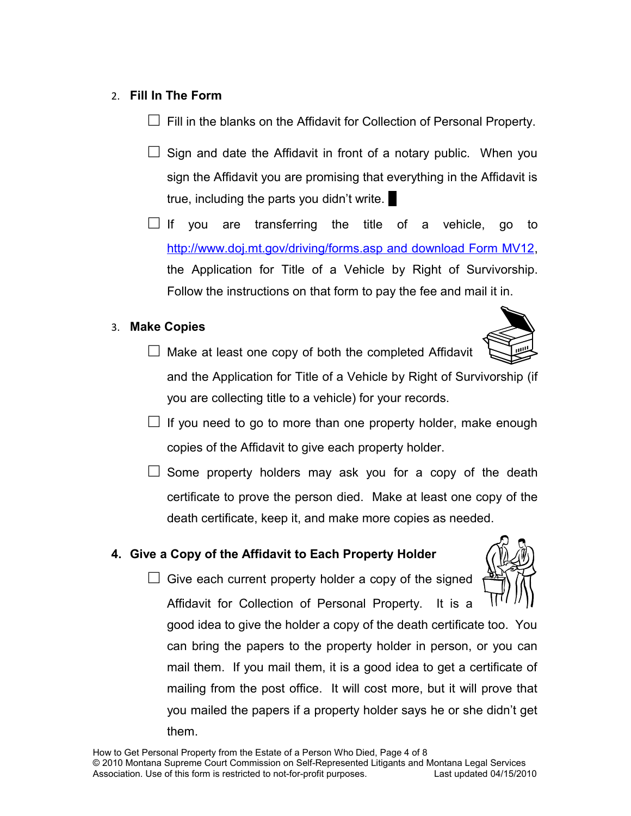#### 2. **Fill In The Form**

 $\Box$  Fill in the blanks on the Affidavit for Collection of Personal Property.

- $\Box$  Sign and date the Affidavit in front of a notary public. When you sign the Affidavit you are promising that everything in the Affidavit is true, including the parts you didn't write.
- $\Box$  If you are transferring the title of a vehicle, go to [http://www.doj.mt.gov/driving/forms.asp and download Form MV12,](http://www.doj.mt.gov/driving/forms.asp%20and%20download%20Form%20MV12) the Application for Title of a Vehicle by Right of Survivorship. Follow the instructions on that form to pay the fee and mail it in.

### 3. **Make Copies**



 $\Box$  Make at least one copy of both the completed Affidavit and the Application for Title of a Vehicle by Right of Survivorship (if you are collecting title to a vehicle) for your records.

- $\Box$  If you need to go to more than one property holder, make enough copies of the Affidavit to give each property holder.
- $\Box$  Some property holders may ask you for a copy of the death certificate to prove the person died. Make at least one copy of the death certificate, keep it, and make more copies as needed.

## **4. Give a Copy of the Affidavit to Each Property Holder**

 $\Box$  Give each current property holder a copy of the signed Affidavit for Collection of Personal Property. It is a

good idea to give the holder a copy of the death certificate too. You can bring the papers to the property holder in person, or you can mail them. If you mail them, it is a good idea to get a certificate of mailing from the post office. It will cost more, but it will prove that you mailed the papers if a property holder says he or she didn't get them.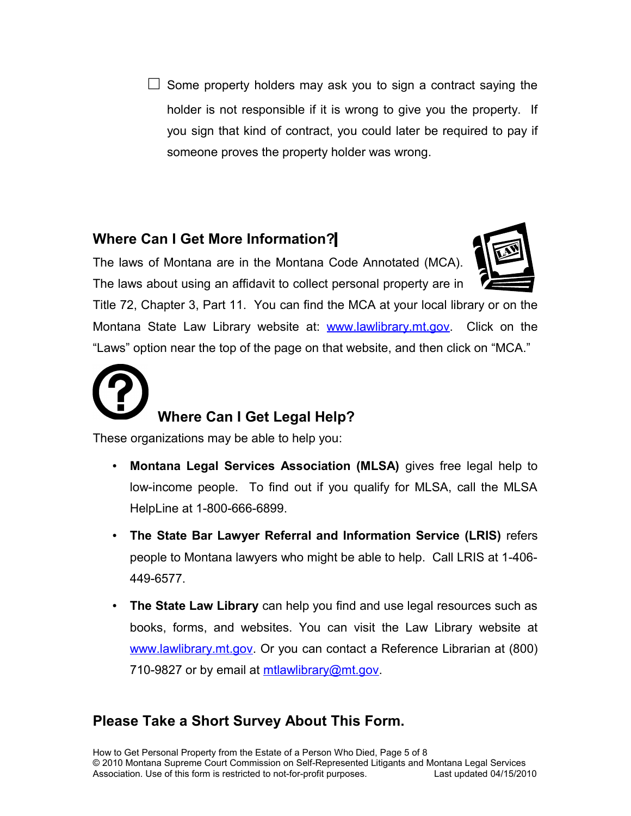$\square$  Some property holders may ask you to sign a contract saying the holder is not responsible if it is wrong to give you the property. If you sign that kind of contract, you could later be required to pay if someone proves the property holder was wrong.

## **Where Can I Get More Information?**

The laws of Montana are in the Montana Code Annotated (MCA). The laws about using an affidavit to collect personal property are in



Title 72, Chapter 3, Part 11. You can find the MCA at your local library or on the Montana State Law Library website at: [www.lawlibrary.mt.gov.](file:///root/convert/apache-tomcat-6.0.20/Local Settings/Temporary Internet Files/Content.Outlook/Local Settings/Local Settings/Temp/www.lawlibrary.mt.gov) Click on the "Laws" option near the top of the page on that website, and then click on "MCA."



These organizations may be able to help you:

- **Montana Legal Services Association (MLSA)** gives free legal help to low-income people. To find out if you qualify for MLSA, call the MLSA HelpLine at 1-800-666-6899.
- **The State Bar Lawyer Referral and Information Service (LRIS)** refers people to Montana lawyers who might be able to help. Call LRIS at 1-406- 449-6577.
- **The State Law Library** can help you find and use legal resources such as books, forms, and websites. You can visit the Law Library website at [www.lawlibrary.mt.gov.](http://www.lawlibrary.mt.gov/) Or you can contact a Reference Librarian at (800) 710-9827 or by email at [mtlawlibrary@mt.gov.](mailto:mtlawlibrary@mt.gov)

## **Please Take a Short Survey About This Form.**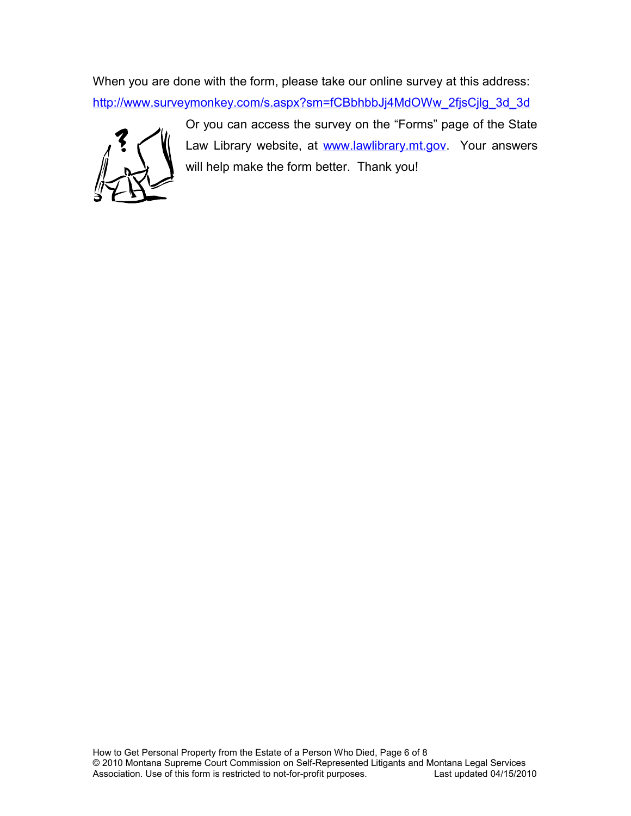When you are done with the form, please take our online survey at this address: [http://www.surveymonkey.com/s.aspx?sm=fCBbhbbJj4MdOWw\\_2fjsCjlg\\_3d\\_3d](http://www.surveymonkey.com/s.aspx?sm=fCBbhbbJj4MdOWw_2fjsCjlg_3d_3d)



Or you can access the survey on the "Forms" page of the State Law Library website, at [www.lawlibrary.mt.gov.](http://www.lawlibrary.mt.gov/) Your answers will help make the form better. Thank you!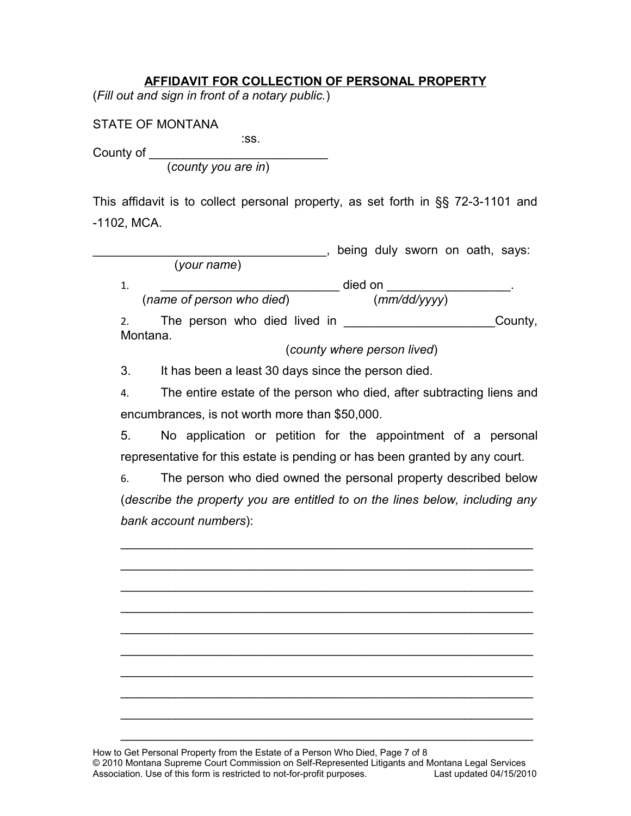#### **AFFIDAVIT FOR COLLECTION OF PERSONAL PROPERTY**

(*Fill out and sign in front of a notary public.*)

STATE OF MONTANA

: ss. and the state of the state of the state of the state of the state of the state of the state of the state County of \_\_\_\_\_\_\_\_\_\_\_\_\_\_\_\_\_\_\_\_\_\_\_\_\_\_

(*county you are in*)

This affidavit is to collect personal property, as set forth in §§ 72-3-1101 and -1102, MCA.

|                              | being duly sworn on oath, says: |
|------------------------------|---------------------------------|
| (your name)                  |                                 |
| 1.                           | died on                         |
| (name of person who died)    | (mm/dd/yyyy)                    |
| The person who died lived in | County,                         |
| Montana.                     | (county where person lived)     |

3. It has been a least 30 days since the person died.

4. The entire estate of the person who died, after subtracting liens and encumbrances, is not worth more than \$50,000.

5. No application or petition for the appointment of a personal representative for this estate is pending or has been granted by any court.

6. The person who died owned the personal property described below (*describe the property you are entitled to on the lines below, including any bank account numbers*):

 $\mathcal{L}_\text{max}$  and  $\mathcal{L}_\text{max}$  and  $\mathcal{L}_\text{max}$  and  $\mathcal{L}_\text{max}$  and  $\mathcal{L}_\text{max}$  and  $\mathcal{L}_\text{max}$ 

 $\mathcal{L}_\text{max}$  and  $\mathcal{L}_\text{max}$  and  $\mathcal{L}_\text{max}$  and  $\mathcal{L}_\text{max}$  and  $\mathcal{L}_\text{max}$  and  $\mathcal{L}_\text{max}$ 

 $\mathcal{L}_\text{max} = \mathcal{L}_\text{max} = \mathcal{L}_\text{max} = \mathcal{L}_\text{max} = \mathcal{L}_\text{max} = \mathcal{L}_\text{max} = \mathcal{L}_\text{max} = \mathcal{L}_\text{max} = \mathcal{L}_\text{max} = \mathcal{L}_\text{max} = \mathcal{L}_\text{max} = \mathcal{L}_\text{max} = \mathcal{L}_\text{max} = \mathcal{L}_\text{max} = \mathcal{L}_\text{max} = \mathcal{L}_\text{max} = \mathcal{L}_\text{max} = \mathcal{L}_\text{max} = \mathcal{$ 

 $\mathcal{L}_\text{max} = \mathcal{L}_\text{max} = \mathcal{L}_\text{max} = \mathcal{L}_\text{max} = \mathcal{L}_\text{max} = \mathcal{L}_\text{max} = \mathcal{L}_\text{max} = \mathcal{L}_\text{max} = \mathcal{L}_\text{max} = \mathcal{L}_\text{max} = \mathcal{L}_\text{max} = \mathcal{L}_\text{max} = \mathcal{L}_\text{max} = \mathcal{L}_\text{max} = \mathcal{L}_\text{max} = \mathcal{L}_\text{max} = \mathcal{L}_\text{max} = \mathcal{L}_\text{max} = \mathcal{$ 

 $\mathcal{L}_\text{max}$  and  $\mathcal{L}_\text{max}$  and  $\mathcal{L}_\text{max}$  and  $\mathcal{L}_\text{max}$  and  $\mathcal{L}_\text{max}$  and  $\mathcal{L}_\text{max}$ 

 $\mathcal{L}_\text{max}$  and  $\mathcal{L}_\text{max}$  and  $\mathcal{L}_\text{max}$  and  $\mathcal{L}_\text{max}$  and  $\mathcal{L}_\text{max}$  and  $\mathcal{L}_\text{max}$ 

 $\mathcal{L}_\text{max}$  and  $\mathcal{L}_\text{max}$  and  $\mathcal{L}_\text{max}$  and  $\mathcal{L}_\text{max}$  and  $\mathcal{L}_\text{max}$  and  $\mathcal{L}_\text{max}$ 

 $\mathcal{L}_\text{max} = \mathcal{L}_\text{max} = \mathcal{L}_\text{max} = \mathcal{L}_\text{max} = \mathcal{L}_\text{max} = \mathcal{L}_\text{max} = \mathcal{L}_\text{max} = \mathcal{L}_\text{max} = \mathcal{L}_\text{max} = \mathcal{L}_\text{max} = \mathcal{L}_\text{max} = \mathcal{L}_\text{max} = \mathcal{L}_\text{max} = \mathcal{L}_\text{max} = \mathcal{L}_\text{max} = \mathcal{L}_\text{max} = \mathcal{L}_\text{max} = \mathcal{L}_\text{max} = \mathcal{$ 

 $\mathcal{L}_\text{max} = \mathcal{L}_\text{max} = \mathcal{L}_\text{max} = \mathcal{L}_\text{max} = \mathcal{L}_\text{max} = \mathcal{L}_\text{max} = \mathcal{L}_\text{max} = \mathcal{L}_\text{max} = \mathcal{L}_\text{max} = \mathcal{L}_\text{max} = \mathcal{L}_\text{max} = \mathcal{L}_\text{max} = \mathcal{L}_\text{max} = \mathcal{L}_\text{max} = \mathcal{L}_\text{max} = \mathcal{L}_\text{max} = \mathcal{L}_\text{max} = \mathcal{L}_\text{max} = \mathcal{$ 

 $\mathcal{L}_\text{max}$  and  $\mathcal{L}_\text{max}$  and  $\mathcal{L}_\text{max}$  and  $\mathcal{L}_\text{max}$  and  $\mathcal{L}_\text{max}$  and  $\mathcal{L}_\text{max}$ 

How to Get Personal Property from the Estate of a Person Who Died, Page 7 of 8 © 2010 Montana Supreme Court Commission on Self-Represented Litigants and Montana Legal Services Association. Use of this form is restricted to not-for-profit purposes.